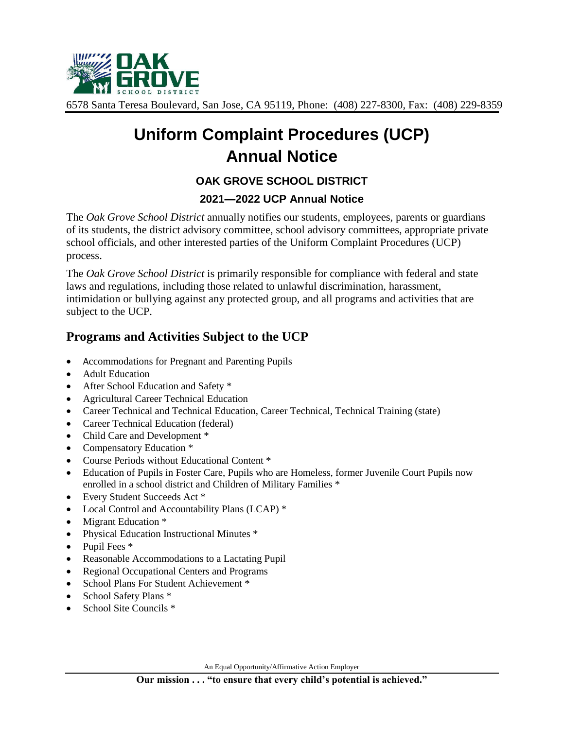

6578 Santa Teresa Boulevard, San Jose, CA 95119, Phone: (408) 227-8300, Fax: (408) 229-8359

# **Uniform Complaint Procedures (UCP) Annual Notice**

## **OAK GROVE SCHOOL DISTRICT**

#### **2021—2022 UCP Annual Notice**

The *Oak Grove School District* annually notifies our students, employees, parents or guardians of its students, the district advisory committee, school advisory committees, appropriate private school officials, and other interested parties of the Uniform Complaint Procedures (UCP) process.

The *Oak Grove School District* is primarily responsible for compliance with federal and state laws and regulations, including those related to unlawful discrimination, harassment, intimidation or bullying against any protected group, and all programs and activities that are subject to the UCP.

### **Programs and Activities Subject to the UCP**

- Accommodations for Pregnant and Parenting Pupils
- Adult Education
- After School Education and Safety \*
- Agricultural Career Technical Education
- Career Technical and Technical Education, Career Technical, Technical Training (state)
- Career Technical Education (federal)
- Child Care and Development  $*$
- Compensatory Education \*
- Course Periods without Educational Content \*
- Education of Pupils in Foster Care, Pupils who are Homeless, former Juvenile Court Pupils now enrolled in a school district and Children of Military Families \*
- Every Student Succeeds Act \*
- Local Control and Accountability Plans (LCAP)  $*$
- Migrant Education \*
- Physical Education Instructional Minutes \*
- Pupil Fees \*
- Reasonable Accommodations to a Lactating Pupil
- Regional Occupational Centers and Programs
- School Plans For Student Achievement \*
- School Safety Plans \*
- School Site Councils \*

An Equal Opportunity/Affirmative Action Employer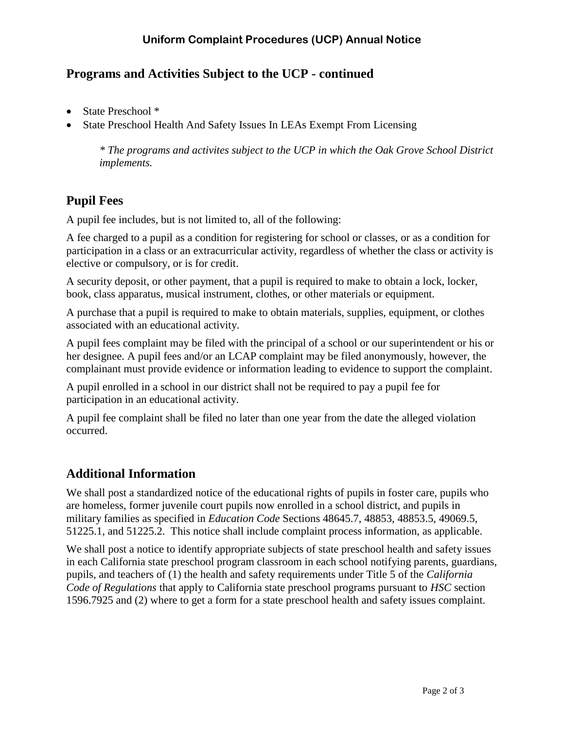## **Programs and Activities Subject to the UCP - continued**

- State Preschool \*
- State Preschool Health And Safety Issues In LEAs Exempt From Licensing

*\* The programs and activites subject to the UCP in which the Oak Grove School District implements.*

## **Pupil Fees**

A pupil fee includes, but is not limited to, all of the following:

A fee charged to a pupil as a condition for registering for school or classes, or as a condition for participation in a class or an extracurricular activity, regardless of whether the class or activity is elective or compulsory, or is for credit.

A security deposit, or other payment, that a pupil is required to make to obtain a lock, locker, book, class apparatus, musical instrument, clothes, or other materials or equipment.

A purchase that a pupil is required to make to obtain materials, supplies, equipment, or clothes associated with an educational activity.

A pupil fees complaint may be filed with the principal of a school or our superintendent or his or her designee. A pupil fees and/or an LCAP complaint may be filed anonymously, however, the complainant must provide evidence or information leading to evidence to support the complaint.

A pupil enrolled in a school in our district shall not be required to pay a pupil fee for participation in an educational activity.

A pupil fee complaint shall be filed no later than one year from the date the alleged violation occurred.

# **Additional Information**

We shall post a standardized notice of the educational rights of pupils in foster care, pupils who are homeless, former juvenile court pupils now enrolled in a school district, and pupils in military families as specified in *Education Code* Sections 48645.7, 48853, 48853.5, 49069.5, 51225.1, and 51225.2. This notice shall include complaint process information, as applicable.

We shall post a notice to identify appropriate subjects of state preschool health and safety issues in each California state preschool program classroom in each school notifying parents, guardians, pupils, and teachers of (1) the health and safety requirements under Title 5 of the *California Code of Regulations* that apply to California state preschool programs pursuant to *HSC* section 1596.7925 and (2) where to get a form for a state preschool health and safety issues complaint.